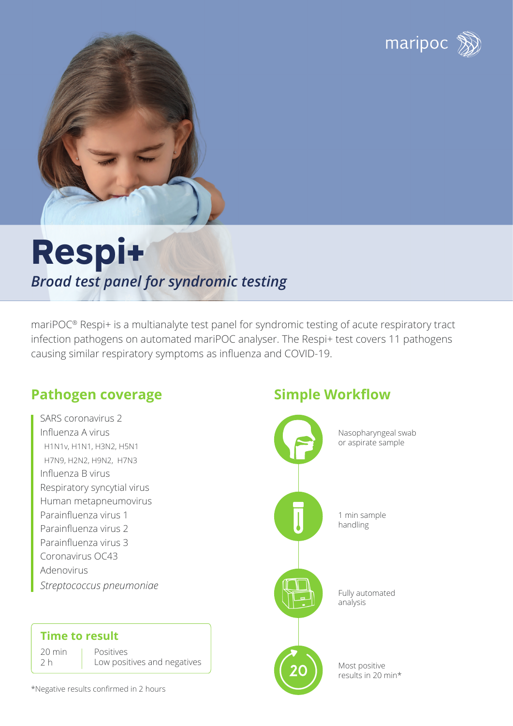



# **Respi+** *Broad test panel for syndromic testing*

mariPOC® Respi+ is a multianalyte test panel for syndromic testing of acute respiratory tract infection pathogens on automated mariPOC analyser. The Respi+ test covers 11 pathogens causing similar respiratory symptoms as influenza and COVID-19.

# **Pathogen coverage <b>Simple Workflow**

SARS coronavirus 2 Influenza A virus H1N1v, H1N1, H3N2, H5N1 H7N9, H2N2, H9N2, H7N3 Influenza B virus Respiratory syncytial virus Human metapneumovirus Parainfluenza virus 1 Parainfluenza virus 2 Parainfluenza virus 3 Coronavirus OC43 Adenovirus *Streptococcus pneumoniae*



### **Time to result**

20 min 2 h

Positives Low positives and negatives